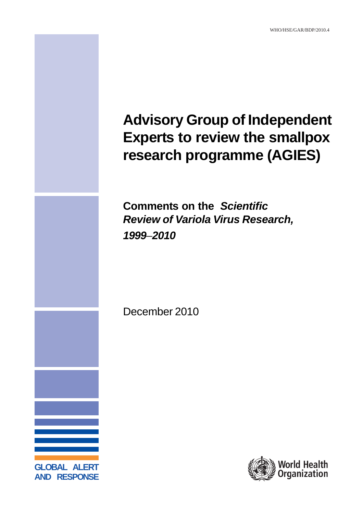# **Advisory Group of Independent Experts to review the smallpox research programme (AGIES)**

**Comments on the** *Scientific Review of Variola Virus Research, 1999–2010*

December 2010



**AND RESPONSE**

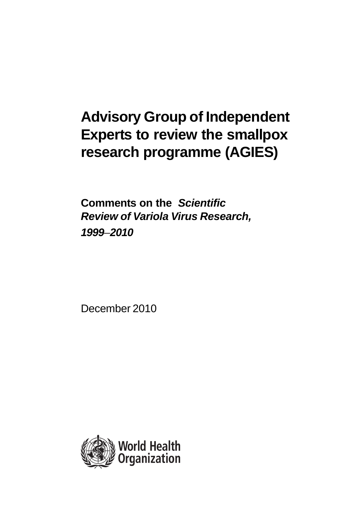# **Advisory Group of Independent Experts to review the smallpox research programme (AGIES)**

**Comments on the** *Scientific Review of Variola Virus Research, 1999–2010*

December 2010

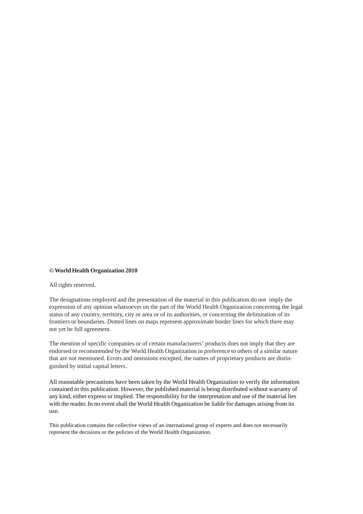#### **© World Health Organization 2010**

All rights reserved.

The designations employed and the presentation of the material in this publication do not imply the expression of any opinion whatsoever on the part of the World Health Organization concerning the legal status of any country, territory, city or area or of its authorities, or concerning the delimitation of its frontiers or boundaries. Dotted lines on maps represent approximate border lines for which there may not yet be full agreement.

The mention of specific companies or of certain manufacturers' products does not imply that they are endorsed or recommended by the World Health Organization in preference to others of a similar nature that are not mentioned. Errors and omissions excepted, the names of proprietary products are distinguished by initial capital letters.

All reasonable precautions have been taken by the World Health Organization to verify the information contained in this publication. However, the published material is being distributed without warranty of any kind, either express or implied. The responsibility for the interpretation and use of the material lies with the reader. In no event shall the World Health Organization be liable for damages arising from its use.

This publication contains the collective views of an international group of experts and does not necessarily represent the decisions or the policies of the World Health Organization.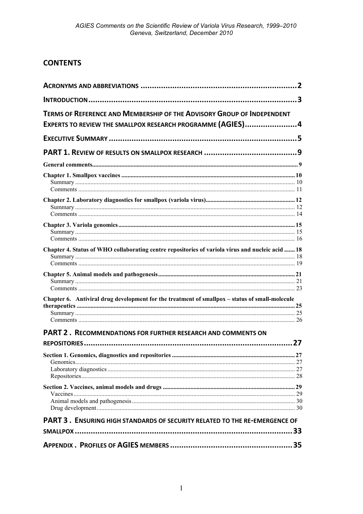### **CONTENTS**

| TERMS OF REFERENCE AND MEMBERSHIP OF THE ADVISORY GROUP OF INDEPENDENT<br>EXPERTS TO REVIEW THE SMALLPOX RESEARCH PROGRAMME (AGIES)4 |      |
|--------------------------------------------------------------------------------------------------------------------------------------|------|
|                                                                                                                                      |      |
|                                                                                                                                      |      |
|                                                                                                                                      |      |
|                                                                                                                                      |      |
|                                                                                                                                      |      |
|                                                                                                                                      |      |
| Chapter 4. Status of WHO collaborating centre repositories of variola virus and nucleic acid  18                                     |      |
|                                                                                                                                      |      |
| Chapter 6. Antiviral drug development for the treatment of smallpox - status of small-molecule                                       |      |
|                                                                                                                                      |      |
| PART 2. RECOMMENDATIONS FOR FURTHER RESEARCH AND COMMENTS ON                                                                         |      |
|                                                                                                                                      | 27   |
|                                                                                                                                      | . 27 |
|                                                                                                                                      |      |
| PART 3. ENSURING HIGH STANDARDS OF SECURITY RELATED TO THE RE-EMERGENCE OF                                                           |      |
|                                                                                                                                      |      |
|                                                                                                                                      |      |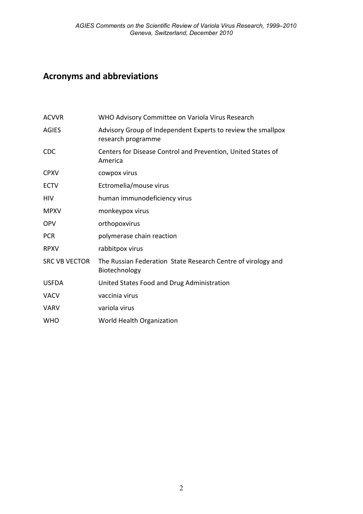# **Acronyms and abbreviations**

| <b>ACVVR</b>         | WHO Advisory Committee on Variola Virus Research                                   |
|----------------------|------------------------------------------------------------------------------------|
| <b>AGIES</b>         | Advisory Group of Independent Experts to review the smallpox<br>research programme |
| <b>CDC</b>           | Centers for Disease Control and Prevention, United States of<br>America            |
| <b>CPXV</b>          | cowpox virus                                                                       |
| <b>ECTV</b>          | Ectromelia/mouse virus                                                             |
| HIV                  | human immunodeficiency virus                                                       |
| <b>MPXV</b>          | monkeypox virus                                                                    |
| <b>OPV</b>           | orthopoxvirus                                                                      |
| <b>PCR</b>           | polymerase chain reaction                                                          |
| <b>RPXV</b>          | rabbitpox virus                                                                    |
| <b>SRC VB VECTOR</b> | The Russian Federation State Research Centre of virology and<br>Biotechnology      |
| <b>USFDA</b>         | United States Food and Drug Administration                                         |
| <b>VACV</b>          | vaccinia virus                                                                     |
| <b>VARV</b>          | variola virus                                                                      |
| <b>WHO</b>           | World Health Organization                                                          |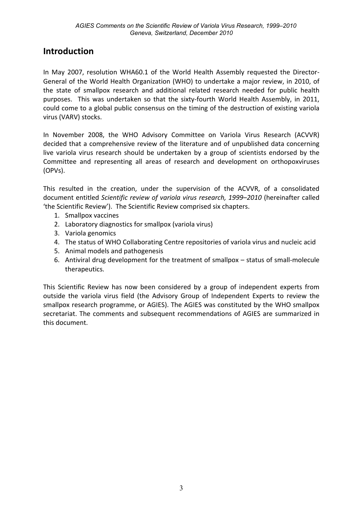### **Introduction**

In May 2007, resolution WHA60.1 of the World Health Assembly requested the Director‐ General of the World Health Organization (WHO) to undertake a major review, in 2010, of the state of smallpox research and additional related research needed for public health purposes. This was undertaken so that the sixty-fourth World Health Assembly, in 2011, could come to a global public consensus on the timing of the destruction of existing variola virus (VARV) stocks.

In November 2008, the WHO Advisory Committee on Variola Virus Research (ACVVR) decided that a comprehensive review of the literature and of unpublished data concerning live variola virus research should be undertaken by a group of scientists endorsed by the Committee and representing all areas of research and development on orthopoxviruses (OPVs).

This resulted in the creation, under the supervision of the ACVVR, of a consolidated document entitled *Scientific review of variola virus research, 1999–2010* (hereinafter called 'the Scientific Review'). The Scientific Review comprised six chapters.

- 1. Smallpox vaccines
- 2. Laboratory diagnostics for smallpox (variola virus)
- 3. Variola genomics
- 4. The status of WHO Collaborating Centre repositories of variola virus and nucleic acid
- 5. Animal models and pathogenesis
- 6. Antiviral drug development for the treatment of smallpox status of small‐molecule therapeutics.

This Scientific Review has now been considered by a group of independent experts from outside the variola virus field (the Advisory Group of Independent Experts to review the smallpox research programme, or AGIES). The AGIES was constituted by the WHO smallpox secretariat. The comments and subsequent recommendations of AGIES are summarized in this document.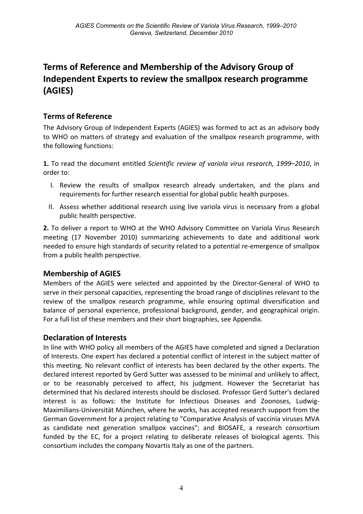# **Terms of Reference and Membership of the Advisory Group of Independent Experts to review the smallpox research programme (AGIES)**

#### **Terms of Reference**

The Advisory Group of Independent Experts (AGIES) was formed to act as an advisory body to WHO on matters of strategy and evaluation of the smallpox research programme, with the following functions:

**1.** To read the document entitled *Scientific review of variola virus research, 1999–2010*, in order to:

- I. Review the results of smallpox research already undertaken, and the plans and requirements for further research essential for global public health purposes.
- II. Assess whether additional research using live variola virus is necessary from a global public health perspective.

**2.** To deliver a report to WHO at the WHO Advisory Committee on Variola Virus Research meeting (17 November 2010) summarizing achievements to date and additional work needed to ensure high standards of security related to a potential re‐emergence of smallpox from a public health perspective.

#### **Membership of AGIES**

Members of the AGIES were selected and appointed by the Director‐General of WHO to serve in their personal capacities, representing the broad range of disciplines relevant to the review of the smallpox research programme, while ensuring optimal diversification and balance of personal experience, professional background, gender, and geographical origin. For a full list of these members and their short biographies, see Appendix.

#### **Declaration of Interests**

In line with WHO policy all members of the AGIES have completed and signed a Declaration of Interests. One expert has declared a potential conflict of interest in the subject matter of this meeting. No relevant conflict of interests has been declared by the other experts. The declared interest reported by Gerd Sutter was assessed to be minimal and unlikely to affect, or to be reasonably perceived to affect, his judgment. However the Secretariat has determined that his declared interests should be disclosed. Professor Gerd Sutter's declared interest is as follows: the Institute for Infectious Diseases and Zoonoses, Ludwig‐ Maximilians‐Universität München, where he works, has accepted research support from the German Government for a project relating to "Comparative Analysis of vaccinia viruses MVA as candidate next generation smallpox vaccines"; and BIOSAFE, a research consortium funded by the EC, for a project relating to deliberate releases of biological agents. This consortium includes the company Novartis Italy as one of the partners.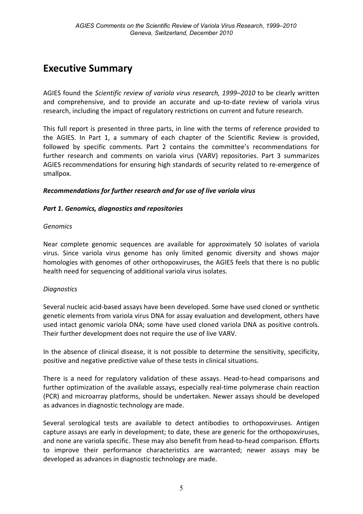# **Executive Summary**

AGIES found the *Scientific review of variola virus research, 1999–2010* to be clearly written and comprehensive, and to provide an accurate and up-to-date review of variola virus research, including the impact of regulatory restrictions on current and future research.

This full report is presented in three parts, in line with the terms of reference provided to the AGIES. In Part 1, a summary of each chapter of the Scientific Review is provided, followed by specific comments. Part 2 contains the committee's recommendations for further research and comments on variola virus (VARV) repositories. Part 3 summarizes AGIES recommendations for ensuring high standards of security related to re‐emergence of smallpox.

#### *Recommendations for further research and for use of live variola virus*

#### *Part 1. Genomics, diagnostics and repositories*

#### *Genomics*

Near complete genomic sequences are available for approximately 50 isolates of variola virus. Since variola virus genome has only limited genomic diversity and shows major homologies with genomes of other orthopoxviruses, the AGIES feels that there is no public health need for sequencing of additional variola virus isolates.

#### *Diagnostics*

Several nucleic acid‐based assays have been developed. Some have used cloned or synthetic genetic elements from variola virus DNA for assay evaluation and development, others have used intact genomic variola DNA; some have used cloned variola DNA as positive controls. Their further development does not require the use of live VARV.

In the absence of clinical disease, it is not possible to determine the sensitivity, specificity, positive and negative predictive value of these tests in clinical situations.

There is a need for regulatory validation of these assays. Head-to-head comparisons and further optimization of the available assays, especially real-time polymerase chain reaction (PCR) and microarray platforms, should be undertaken. Newer assays should be developed as advances in diagnostic technology are made.

Several serological tests are available to detect antibodies to orthopoxviruses. Antigen capture assays are early in development; to date, these are generic for the orthopoxviruses, and none are variola specific. These may also benefit from head-to-head comparison. Efforts to improve their performance characteristics are warranted; newer assays may be developed as advances in diagnostic technology are made.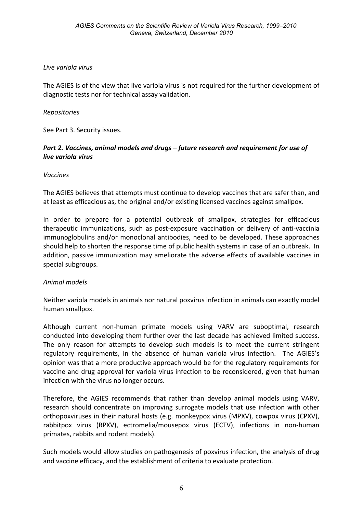#### *Live variola virus*

The AGIES is of the view that live variola virus is not required for the further development of diagnostic tests nor for technical assay validation.

#### *Repositories*

See Part 3. Security issues.

#### *Part 2. Vaccines, animal models and drugs – future research and requirement for use of live variola virus*

*Vaccines*

The AGIES believes that attempts must continue to develop vaccines that are safer than, and at least as efficacious as, the original and/or existing licensed vaccines against smallpox.

In order to prepare for a potential outbreak of smallpox, strategies for efficacious therapeutic immunizations, such as post‐exposure vaccination or delivery of anti‐vaccinia immunoglobulins and/or monoclonal antibodies, need to be developed. These approaches should help to shorten the response time of public health systems in case of an outbreak. In addition, passive immunization may ameliorate the adverse effects of available vaccines in special subgroups.

#### *Animal models*

Neither variola models in animals nor natural poxvirus infection in animals can exactly model human smallpox.

Although current non‐human primate models using VARV are suboptimal, research conducted into developing them further over the last decade has achieved limited success. The only reason for attempts to develop such models is to meet the current stringent regulatory requirements, in the absence of human variola virus infection. The AGIES's opinion was that a more productive approach would be for the regulatory requirements for vaccine and drug approval for variola virus infection to be reconsidered, given that human infection with the virus no longer occurs.

Therefore, the AGIES recommends that rather than develop animal models using VARV, research should concentrate on improving surrogate models that use infection with other orthopoxviruses in their natural hosts (e.g. monkeypox virus (MPXV), cowpox virus (CPXV), rabbitpox virus (RPXV), ectromelia/mousepox virus (ECTV), infections in non‐human primates, rabbits and rodent models).

Such models would allow studies on pathogenesis of poxvirus infection, the analysis of drug and vaccine efficacy, and the establishment of criteria to evaluate protection.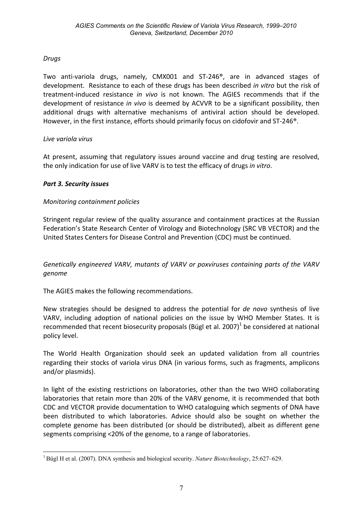#### *Drugs*

Two anti-variola drugs, namely, CMX001 and ST-246<sup>®</sup>, are in advanced stages of development. Resistance to each of these drugs has been described *in vitro* but the risk of treatment‐induced resistance *in vivo* is not known. The AGIES recommends that if the development of resistance *in vivo* is deemed by ACVVR to be a significant possibility, then additional drugs with alternative mechanisms of antiviral action should be developed. However, in the first instance, efforts should primarily focus on cidofovir and ST-246<sup>®</sup>.

#### *Live variola virus*

At present, assuming that regulatory issues around vaccine and drug testing are resolved, the only indication for use of live VARV is to test the efficacy of drugs *in vitro*.

#### *Part 3. Security issues*

#### *Monitoring containment policies*

Stringent regular review of the quality assurance and containment practices at the Russian Federation's State Research Center of Virology and Biotechnology (SRC VB VECTOR) and the United States Centers for Disease Control and Prevention (CDC) must be continued.

*Genetically engineered VARV, mutants of VARV or poxviruses containing parts of the VARV genome*

The AGIES makes the following recommendations.

New strategies should be designed to address the potential for *de novo* synthesis of live VARV, including adoption of national policies on the issue by WHO Member States. It is recommended that recent biosecurity proposals (Bügl et al. 2007)<sup>1</sup> be considered at national policy level.

The World Health Organization should seek an updated validation from all countries regarding their stocks of variola virus DNA (in various forms, such as fragments, amplicons and/or plasmids).

In light of the existing restrictions on laboratories, other than the two WHO collaborating laboratories that retain more than 20% of the VARV genome, it is recommended that both CDC and VECTOR provide documentation to WHO cataloguing which segments of DNA have been distributed to which laboratories. Advice should also be sought on whether the complete genome has been distributed (or should be distributed), albeit as different gene segments comprising <20% of the genome, to a range of laboratories.

<sup>1</sup> 1 Bügl H et al. (2007). DNA synthesis and biological security. *Nature Biotechnology*, 25:627–629.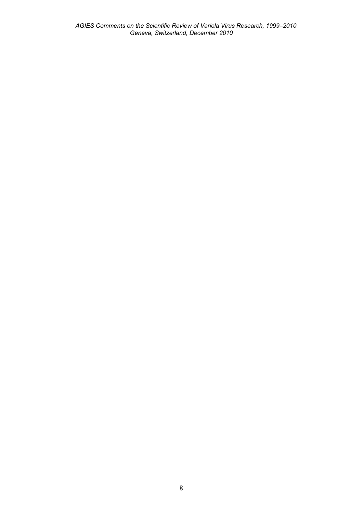*AGIES Comments on the Scientific Review of Variola Virus Research, 1999–2010 Geneva, Switzerland, December 2010*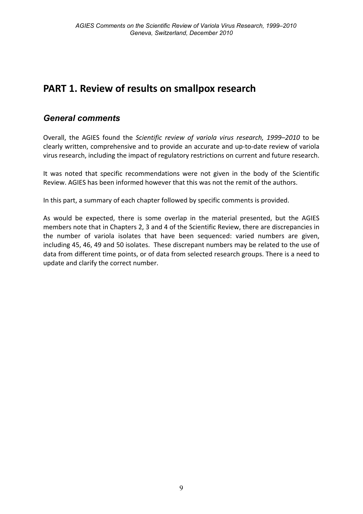# **PART 1. Review of results on smallpox research**

### *General comments*

Overall, the AGIES found the *Scientific review of variola virus research, 1999–2010* to be clearly written, comprehensive and to provide an accurate and up‐to‐date review of variola virus research, including the impact of regulatory restrictions on current and future research.

It was noted that specific recommendations were not given in the body of the Scientific Review. AGIES has been informed however that this was not the remit of the authors.

In this part, a summary of each chapter followed by specific comments is provided.

As would be expected, there is some overlap in the material presented, but the AGIES members note that in Chapters 2, 3 and 4 of the Scientific Review, there are discrepancies in the number of variola isolates that have been sequenced: varied numbers are given, including 45, 46, 49 and 50 isolates. These discrepant numbers may be related to the use of data from different time points, or of data from selected research groups. There is a need to update and clarify the correct number.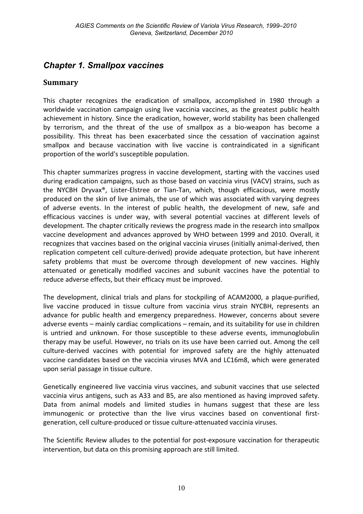## *Chapter 1. Smallpox vaccines*

#### **Summary**

This chapter recognizes the eradication of smallpox, accomplished in 1980 through a worldwide vaccination campaign using live vaccinia vaccines, as the greatest public health achievement in history. Since the eradication, however, world stability has been challenged by terrorism, and the threat of the use of smallpox as a bio‐weapon has become a possibility. This threat has been exacerbated since the cessation of vaccination against smallpox and because vaccination with live vaccine is contraindicated in a significant proportion of the world's susceptible population.

This chapter summarizes progress in vaccine development, starting with the vaccines used during eradication campaigns, such as those based on vaccinia virus (VACV) strains, such as the NYCBH Dryvax®, Lister‐Elstree or Tian‐Tan, which, though efficacious, were mostly produced on the skin of live animals, the use of which was associated with varying degrees of adverse events. In the interest of public health, the development of new, safe and efficacious vaccines is under way, with several potential vaccines at different levels of development. The chapter critically reviews the progress made in the research into smallpox vaccine development and advances approved by WHO between 1999 and 2010. Overall, it recognizes that vaccines based on the original vaccinia viruses (initially animal‐derived, then replication competent cell culture‐derived) provide adequate protection, but have inherent safety problems that must be overcome through development of new vaccines. Highly attenuated or genetically modified vaccines and subunit vaccines have the potential to reduce adverse effects, but their efficacy must be improved.

The development, clinical trials and plans for stockpiling of ACAM2000, a plaque-purified, live vaccine produced in tissue culture from vaccinia virus strain NYCBH, represents an advance for public health and emergency preparedness. However, concerns about severe adverse events – mainly cardiac complications – remain, and its suitability for use in children is untried and unknown. For those susceptible to these adverse events, immunoglobulin therapy may be useful. However, no trials on its use have been carried out. Among the cell culture‐derived vaccines with potential for improved safety are the highly attenuated vaccine candidates based on the vaccinia viruses MVA and LC16m8, which were generated upon serial passage in tissue culture.

Genetically engineered live vaccinia virus vaccines, and subunit vaccines that use selected vaccinia virus antigens, such as A33 and B5, are also mentioned as having improved safety. Data from animal models and limited studies in humans suggest that these are less immunogenic or protective than the live virus vaccines based on conventional firstgeneration, cell culture‐produced or tissue culture‐attenuated vaccinia viruses.

The Scientific Review alludes to the potential for post-exposure vaccination for therapeutic intervention, but data on this promising approach are still limited.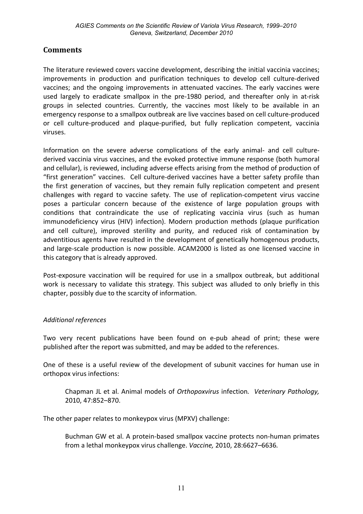### **Comments**

The literature reviewed covers vaccine development, describing the initial vaccinia vaccines; improvements in production and purification techniques to develop cell culture-derived vaccines; and the ongoing improvements in attenuated vaccines. The early vaccines were used largely to eradicate smallpox in the pre-1980 period, and thereafter only in at-risk groups in selected countries. Currently, the vaccines most likely to be available in an emergency response to a smallpox outbreak are live vaccines based on cell culture‐produced or cell culture‐produced and plaque‐purified, but fully replication competent, vaccinia viruses.

Information on the severe adverse complications of the early animal- and cell culturederived vaccinia virus vaccines, and the evoked protective immune response (both humoral and cellular), is reviewed, including adverse effects arising from the method of production of "first generation" vaccines. Cell culture‐derived vaccines have a better safety profile than the first generation of vaccines, but they remain fully replication competent and present challenges with regard to vaccine safety. The use of replication‐competent virus vaccine poses a particular concern because of the existence of large population groups with conditions that contraindicate the use of replicating vaccinia virus (such as human immunodeficiency virus (HIV) infection). Modern production methods (plaque purification and cell culture), improved sterility and purity, and reduced risk of contamination by adventitious agents have resulted in the development of genetically homogenous products, and large‐scale production is now possible. ACAM2000 is listed as one licensed vaccine in this category that is already approved.

Post‐exposure vaccination will be required for use in a smallpox outbreak, but additional work is necessary to validate this strategy. This subject was alluded to only briefly in this chapter, possibly due to the scarcity of information.

#### *Additional references*

Two very recent publications have been found on e-pub ahead of print; these were published after the report was submitted, and may be added to the references.

One of these is a useful review of the development of subunit vaccines for human use in orthopox virus infections:

Chapman JL et al. Animal models of *Orthopoxvirus* infection*. Veterinary Pathology,* 2010, 47:852–870.

The other paper relates to monkeypox virus (MPXV) challenge:

Buchman GW et al. A protein‐based smallpox vaccine protects non‐human primates from a lethal monkeypox virus challenge. *Vaccine,* 2010, 28:6627–6636*.*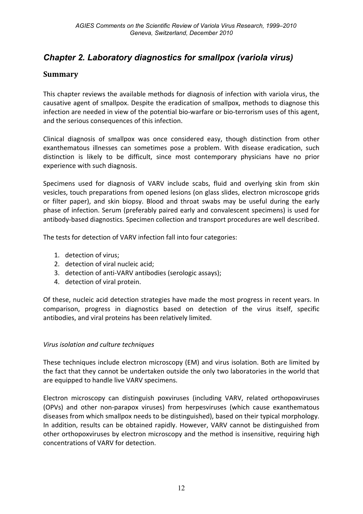# *Chapter 2. Laboratory diagnostics for smallpox (variola virus)*

#### **Summary**

This chapter reviews the available methods for diagnosis of infection with variola virus, the causative agent of smallpox. Despite the eradication of smallpox, methods to diagnose this infection are needed in view of the potential bio-warfare or bio-terrorism uses of this agent, and the serious consequences of this infection.

Clinical diagnosis of smallpox was once considered easy, though distinction from other exanthematous illnesses can sometimes pose a problem. With disease eradication, such distinction is likely to be difficult, since most contemporary physicians have no prior experience with such diagnosis.

Specimens used for diagnosis of VARV include scabs, fluid and overlying skin from skin vesicles, touch preparations from opened lesions (on glass slides, electron microscope grids or filter paper), and skin biopsy. Blood and throat swabs may be useful during the early phase of infection. Serum (preferably paired early and convalescent specimens) is used for antibody‐based diagnostics. Specimen collection and transport procedures are well described.

The tests for detection of VARV infection fall into four categories:

- 1. detection of virus;
- 2. detection of viral nucleic acid;
- 3. detection of anti‐VARV antibodies (serologic assays);
- 4. detection of viral protein.

Of these, nucleic acid detection strategies have made the most progress in recent years. In comparison, progress in diagnostics based on detection of the virus itself, specific antibodies, and viral proteins has been relatively limited.

#### *Virus isolation and culture techniques*

These techniques include electron microscopy (EM) and virus isolation. Both are limited by the fact that they cannot be undertaken outside the only two laboratories in the world that are equipped to handle live VARV specimens.

Electron microscopy can distinguish poxviruses (including VARV, related orthopoxviruses (OPVs) and other non‐parapox viruses) from herpesviruses (which cause exanthematous diseases from which smallpox needs to be distinguished), based on their typical morphology. In addition, results can be obtained rapidly. However, VARV cannot be distinguished from other orthopoxviruses by electron microscopy and the method is insensitive, requiring high concentrations of VARV for detection.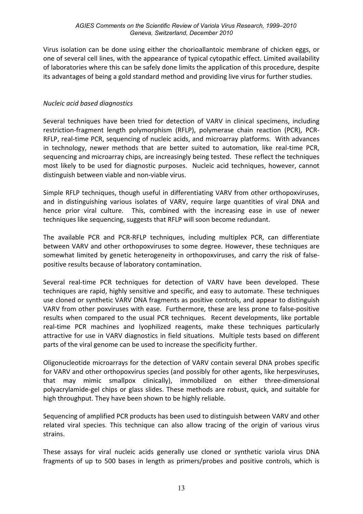Virus isolation can be done using either the chorioallantoic membrane of chicken eggs, or one of several cell lines, with the appearance of typical cytopathic effect. Limited availability of laboratories where this can be safely done limits the application of this procedure, despite its advantages of being a gold standard method and providing live virus for further studies.

#### *Nucleic acid based diagnostics*

Several techniques have been tried for detection of VARV in clinical specimens, including restriction‐fragment length polymorphism (RFLP), polymerase chain reaction (PCR), PCR‐ RFLP, real-time PCR, sequencing of nucleic acids, and microarray platforms. With advances in technology, newer methods that are better suited to automation, like real‐time PCR, sequencing and microarray chips, are increasingly being tested. These reflect the techniques most likely to be used for diagnostic purposes. Nucleic acid techniques, however, cannot distinguish between viable and non‐viable virus.

Simple RFLP techniques, though useful in differentiating VARV from other orthopoxviruses, and in distinguishing various isolates of VARV, require large quantities of viral DNA and hence prior viral culture. This, combined with the increasing ease in use of newer techniques like sequencing, suggests that RFLP will soon become redundant.

The available PCR and PCR‐RFLP techniques, including multiplex PCR, can differentiate between VARV and other orthopoxviruses to some degree. However, these techniques are somewhat limited by genetic heterogeneity in orthopoxviruses, and carry the risk of falsepositive results because of laboratory contamination.

Several real-time PCR techniques for detection of VARV have been developed. These techniques are rapid, highly sensitive and specific, and easy to automate. These techniques use cloned or synthetic VARV DNA fragments as positive controls, and appear to distinguish VARV from other poxviruses with ease. Furthermore, these are less prone to false‐positive results when compared to the usual PCR techniques. Recent developments, like portable real-time PCR machines and lyophilized reagents, make these techniques particularly attractive for use in VARV diagnostics in field situations. Multiple tests based on different parts of the viral genome can be used to increase the specificity further.

Oligonucleotide microarrays for the detection of VARV contain several DNA probes specific for VARV and other orthopoxvirus species (and possibly for other agents, like herpesviruses, that may mimic smallpox clinically), immobilized on either three-dimensional polyacrylamide‐gel chips or glass slides. These methods are robust, quick, and suitable for high throughput. They have been shown to be highly reliable.

Sequencing of amplified PCR products has been used to distinguish between VARV and other related viral species. This technique can also allow tracing of the origin of various virus strains.

These assays for viral nucleic acids generally use cloned or synthetic variola virus DNA fragments of up to 500 bases in length as primers/probes and positive controls, which is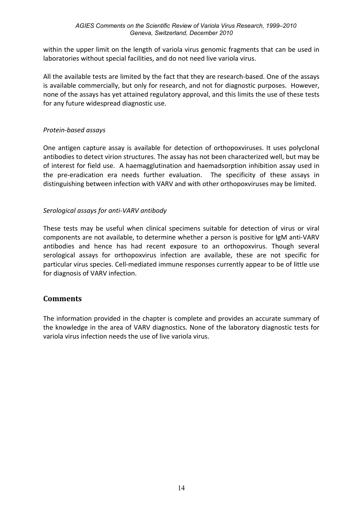within the upper limit on the length of variola virus genomic fragments that can be used in laboratories without special facilities, and do not need live variola virus.

All the available tests are limited by the fact that they are research-based. One of the assays is available commercially, but only for research, and not for diagnostic purposes. However, none of the assays has yet attained regulatory approval, and this limits the use of these tests for any future widespread diagnostic use.

#### *Protein‐based assays*

One antigen capture assay is available for detection of orthopoxviruses. It uses polyclonal antibodies to detect virion structures. The assay has not been characterized well, but may be of interest for field use. A haemagglutination and haemadsorption inhibition assay used in the pre-eradication era needs further evaluation. The specificity of these assays in distinguishing between infection with VARV and with other orthopoxviruses may be limited.

#### *Serological assays for anti‐VARV antibody*

These tests may be useful when clinical specimens suitable for detection of virus or viral components are not available, to determine whether a person is positive for IgM anti‐VARV antibodies and hence has had recent exposure to an orthopoxvirus. Though several serological assays for orthopoxvirus infection are available, these are not specific for particular virus species. Cell-mediated immune responses currently appear to be of little use for diagnosis of VARV infection.

#### **Comments**

The information provided in the chapter is complete and provides an accurate summary of the knowledge in the area of VARV diagnostics. None of the laboratory diagnostic tests for variola virus infection needs the use of live variola virus.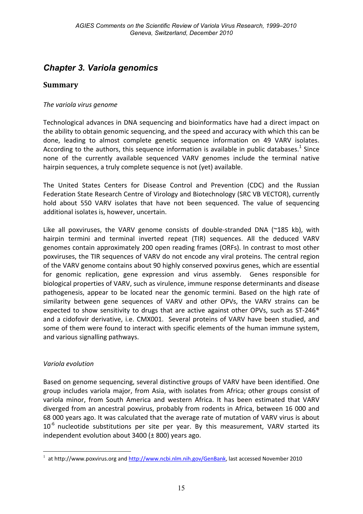# *Chapter 3. Variola genomics*

#### **Summary**

#### *The variola virus genome*

Technological advances in DNA sequencing and bioinformatics have had a direct impact on the ability to obtain genomic sequencing, and the speed and accuracy with which this can be done, leading to almost complete genetic sequence information on 49 VARV isolates. According to the authors, this sequence information is available in public databases. $1$  Since none of the currently available sequenced VARV genomes include the terminal native hairpin sequences, a truly complete sequence is not (yet) available.

The United States Centers for Disease Control and Prevention (CDC) and the Russian Federation State Research Centre of Virology and Biotechnology (SRC VB VECTOR), currently hold about 550 VARV isolates that have not been sequenced. The value of sequencing additional isolates is, however, uncertain.

Like all poxviruses, the VARV genome consists of double-stranded DNA (~185 kb), with hairpin termini and terminal inverted repeat (TIR) sequences. All the deduced VARV genomes contain approximately 200 open reading frames (ORFs). In contrast to most other poxviruses, the TIR sequences of VARV do not encode any viral proteins. The central region of the VARV genome contains about 90 highly conserved poxvirus genes, which are essential for genomic replication, gene expression and virus assembly. Genes responsible for biological properties of VARV, such as virulence, immune response determinants and disease pathogenesis, appear to be located near the genomic termini. Based on the high rate of similarity between gene sequences of VARV and other OPVs, the VARV strains can be expected to show sensitivity to drugs that are active against other OPVs, such as ST-246<sup>®</sup> and a cidofovir derivative, i.e. CMX001. Several proteins of VARV have been studied, and some of them were found to interact with specific elements of the human immune system, and various signalling pathways.

#### *Variola evolution*

1

Based on genome sequencing, several distinctive groups of VARV have been identified. One group includes variola major, from Asia, with isolates from Africa; other groups consist of variola minor, from South America and western Africa. It has been estimated that VARV diverged from an ancestral poxvirus, probably from rodents in Africa, between 16 000 and 68 000 years ago. It was calculated that the average rate of mutation of VARV virus is about  $10^{-6}$  nucleotide substitutions per site per year. By this measurement, VARV started its independent evolution about 3400 ( $\pm$  800) years ago.

 $1$  at http://www.poxvirus.org and http://www.ncbi.nlm.nih.gov/GenBank, last accessed November 2010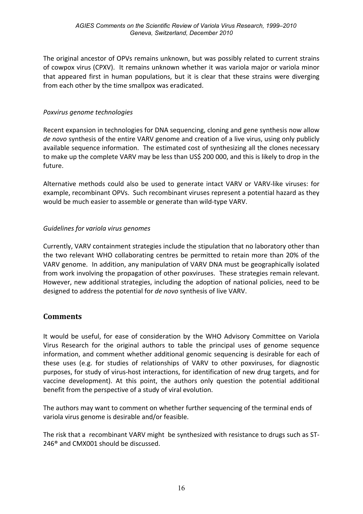The original ancestor of OPVs remains unknown, but was possibly related to current strains of cowpox virus (CPXV). It remains unknown whether it was variola major or variola minor that appeared first in human populations, but it is clear that these strains were diverging from each other by the time smallpox was eradicated.

#### *Poxvirus genome technologies*

Recent expansion in technologies for DNA sequencing, cloning and gene synthesis now allow *de novo* synthesis of the entire VARV genome and creation of a live virus, using only publicly available sequence information. The estimated cost of synthesizing all the clones necessary to make up the complete VARV may be less than US\$ 200 000, and this is likely to drop in the future.

Alternative methods could also be used to generate intact VARV or VARV‐like viruses: for example, recombinant OPVs. Such recombinant viruses represent a potential hazard as they would be much easier to assemble or generate than wild‐type VARV.

#### *Guidelines for variola virus genomes*

Currently, VARV containment strategies include the stipulation that no laboratory other than the two relevant WHO collaborating centres be permitted to retain more than 20% of the VARV genome. In addition, any manipulation of VARV DNA must be geographically isolated from work involving the propagation of other poxviruses. These strategies remain relevant. However, new additional strategies, including the adoption of national policies, need to be designed to address the potential for *de novo* synthesis of live VARV.

#### **Comments**

It would be useful, for ease of consideration by the WHO Advisory Committee on Variola Virus Research for the original authors to table the principal uses of genome sequence information, and comment whether additional genomic sequencing is desirable for each of these uses (e.g. for studies of relationships of VARV to other poxviruses, for diagnostic purposes, for study of virus‐host interactions, for identification of new drug targets, and for vaccine development). At this point, the authors only question the potential additional benefit from the perspective of a study of viral evolution.

The authors may want to comment on whether further sequencing of the terminal ends of variola virus genome is desirable and/or feasible.

The risk that a recombinant VARV might be synthesized with resistance to drugs such as ST‐ 246® and CMX001 should be discussed.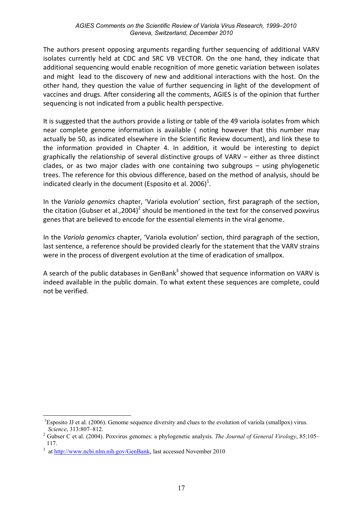The authors present opposing arguments regarding further sequencing of additional VARV isolates currently held at CDC and SRC VB VECTOR. On the one hand, they indicate that additional sequencing would enable recognition of more genetic variation between isolates and might lead to the discovery of new and additional interactions with the host. On the other hand, they question the value of further sequencing in light of the development of vaccines and drugs. After considering all the comments, AGIES is of the opinion that further sequencing is not indicated from a public health perspective.

It is suggested that the authors provide a listing or table of the 49 variola isolates from which near complete genome information is available ( noting however that this number may actually be 50, as indicated elsewhere in the Scientific Review document), and link these to the information provided in Chapter 4. In addition, it would be interesting to depict graphically the relationship of several distinctive groups of VARV – either as three distinct clades, or as two major clades with one containing two subgroups – using phylogenetic trees. The reference for this obvious difference, based on the method of analysis, should be indicated clearly in the document (Esposito et al. 2006)<sup>1</sup>.

In the *Variola genomics* chapter, 'Variola evolution' section, first paragraph of the section, the citation (Gubser et al., 2004)<sup>2</sup> should be mentioned in the text for the conserved poxvirus genes that are believed to encode for the essential elements in the viral genome.

In the *Variola genomics* chapter, 'Variola evolution' section, third paragraph of the section, last sentence, a reference should be provided clearly for the statement that the VARV strains were in the process of divergent evolution at the time of eradication of smallpox.

A search of the public databases in GenBank $3$  showed that sequence information on VARV is indeed available in the public domain. To what extent these sequences are complete, could not be verified.

1

<sup>&</sup>lt;sup>1</sup>Esposito JJ et al. (2006). Genome sequence diversity and clues to the evolution of variola (smallpox) virus.

*Science*, 313:807–812. 2 Gubser C et al. (2004). Poxvirus genomes: a phylogenetic analysis. *The Journal of General Virology*, 85:105– 117.

<sup>&</sup>lt;sup>3</sup> at http://www.ncbi.nlm.nih.gov/GenBank, last accessed November 2010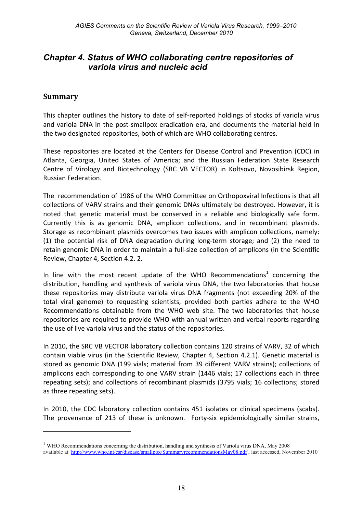### *Chapter 4. Status of WHO collaborating centre repositories of variola virus and nucleic acid*

#### **Summary**

1

This chapter outlines the history to date of self‐reported holdings of stocks of variola virus and variola DNA in the post-smallpox eradication era, and documents the material held in the two designated repositories, both of which are WHO collaborating centres.

These repositories are located at the Centers for Disease Control and Prevention (CDC) in Atlanta, Georgia, United States of America; and the Russian Federation State Research Centre of Virology and Biotechnology (SRC VB VECTOR) in Koltsovo, Novosibirsk Region, Russian Federation.

The recommendation of 1986 of the WHO Committee on Orthopoxviral Infections is that all collections of VARV strains and their genomic DNAs ultimately be destroyed. However, it is noted that genetic material must be conserved in a reliable and biologically safe form. Currently this is as genomic DNA, amplicon collections, and in recombinant plasmids. Storage as recombinant plasmids overcomes two issues with amplicon collections, namely: (1) the potential risk of DNA degradation during long‐term storage; and (2) the need to retain genomic DNA in order to maintain a full‐size collection of amplicons (in the Scientific Review, Chapter 4, Section 4.2. 2.

In line with the most recent update of the WHO Recommendations<sup>1</sup> concerning the distribution, handling and synthesis of variola virus DNA, the two laboratories that house these repositories may distribute variola virus DNA fragments (not exceeding 20% of the total viral genome) to requesting scientists, provided both parties adhere to the WHO Recommendations obtainable from the WHO web site. The two laboratories that house repositories are required to provide WHO with annual written and verbal reports regarding the use of live variola virus and the status of the repositories.

In 2010, the SRC VB VECTOR laboratory collection contains 120 strains of VARV, 32 of which contain viable virus (in the Scientific Review, Chapter 4, Section 4.2.1). Genetic material is stored as genomic DNA (199 vials; material from 39 different VARV strains); collections of amplicons each corresponding to one VARV strain (1446 vials; 17 collections each in three repeating sets); and collections of recombinant plasmids (3795 vials; 16 collections; stored as three repeating sets).

In 2010, the CDC laboratory collection contains 451 isolates or clinical specimens (scabs). The provenance of 213 of these is unknown. Forty-six epidemiologically similar strains,

<sup>&</sup>lt;sup>1</sup> WHO Recommendations concerning the distribution, handling and synthesis of Variola virus DNA, May 2008 available at http://www.who.int/csr/disease/smallpox/SummaryrecommendationsMay08.pdf , last accessed, November 2010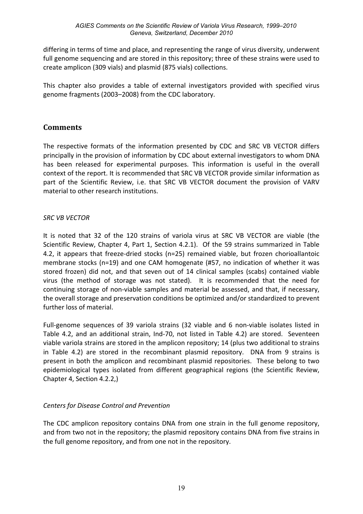differing in terms of time and place, and representing the range of virus diversity, underwent full genome sequencing and are stored in this repository; three of these strains were used to create amplicon (309 vials) and plasmid (875 vials) collections.

This chapter also provides a table of external investigators provided with specified virus genome fragments (2003–2008) from the CDC laboratory.

#### **Comments**

The respective formats of the information presented by CDC and SRC VB VECTOR differs principally in the provision of information by CDC about external investigators to whom DNA has been released for experimental purposes. This information is useful in the overall context of the report. It is recommended that SRC VB VECTOR provide similar information as part of the Scientific Review, i.e. that SRC VB VECTOR document the provision of VARV material to other research institutions.

#### *SRC VB VECTOR*

It is noted that 32 of the 120 strains of variola virus at SRC VB VECTOR are viable (the Scientific Review, Chapter 4, Part 1, Section 4.2.1). Of the 59 strains summarized in Table 4.2, it appears that freeze-dried stocks (n=25) remained viable, but frozen chorioallantoic membrane stocks (n=19) and one CAM homogenate (#57, no indication of whether it was stored frozen) did not, and that seven out of 14 clinical samples (scabs) contained viable virus (the method of storage was not stated). It is recommended that the need for continuing storage of non‐viable samples and material be assessed, and that, if necessary, the overall storage and preservation conditions be optimized and/or standardized to prevent further loss of material.

Full-genome sequences of 39 variola strains (32 viable and 6 non-viable isolates listed in Table 4.2, and an additional strain, Ind‐70, not listed in Table 4.2) are stored. Seventeen viable variola strains are stored in the amplicon repository; 14 (plus two additional to strains in Table 4.2) are stored in the recombinant plasmid repository. DNA from 9 strains is present in both the amplicon and recombinant plasmid repositories. These belong to two epidemiological types isolated from different geographical regions (the Scientific Review, Chapter 4, Section 4.2.2,)

#### *Centers for Disease Control and Prevention*

The CDC amplicon repository contains DNA from one strain in the full genome repository, and from two not in the repository; the plasmid repository contains DNA from five strains in the full genome repository, and from one not in the repository.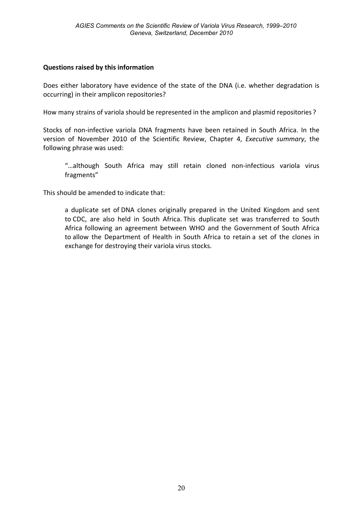#### **Questions raised by this information**

Does either laboratory have evidence of the state of the DNA (i.e. whether degradation is occurring) in their amplicon repositories?

How many strains of variola should be represented in the amplicon and plasmid repositories ?

Stocks of non-infective variola DNA fragments have been retained in South Africa. In the version of November 2010 of the Scientific Review, Chapter 4, *Executive summary*, the following phrase was used:

"…although South Africa may still retain cloned non‐infectious variola virus fragments"

This should be amended to indicate that:

a duplicate set of DNA clones originally prepared in the United Kingdom and sent to CDC, are also held in South Africa. This duplicate set was transferred to South Africa following an agreement between WHO and the Government of South Africa to allow the Department of Health in South Africa to retain a set of the clones in exchange for destroying their variola virus stocks.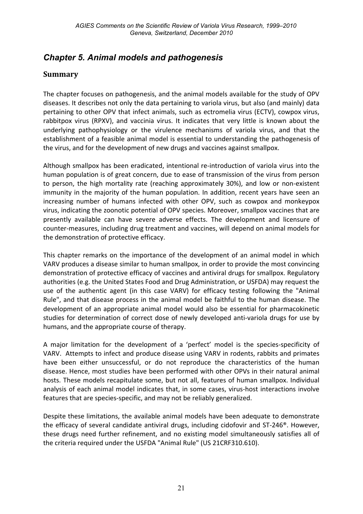# *Chapter 5. Animal models and pathogenesis*

#### **Summary**

The chapter focuses on pathogenesis, and the animal models available for the study of OPV diseases. It describes not only the data pertaining to variola virus, but also (and mainly) data pertaining to other OPV that infect animals, such as ectromelia virus (ECTV), cowpox virus, rabbitpox virus (RPXV), and vaccinia virus. It indicates that very little is known about the underlying pathophysiology or the virulence mechanisms of variola virus, and that the establishment of a feasible animal model is essential to understanding the pathogenesis of the virus, and for the development of new drugs and vaccines against smallpox.

Although smallpox has been eradicated, intentional re‐introduction of variola virus into the human population is of great concern, due to ease of transmission of the virus from person to person, the high mortality rate (reaching approximately 30%), and low or non‐existent immunity in the majority of the human population. In addition, recent years have seen an increasing number of humans infected with other OPV, such as cowpox and monkeypox virus, indicating the zoonotic potential of OPV species. Moreover, smallpox vaccines that are presently available can have severe adverse effects. The development and licensure of counter‐measures, including drug treatment and vaccines, will depend on animal models for the demonstration of protective efficacy.

This chapter remarks on the importance of the development of an animal model in which VARV produces a disease similar to human smallpox, in order to provide the most convincing demonstration of protective efficacy of vaccines and antiviral drugs for smallpox. Regulatory authorities (e.g. the United States Food and Drug Administration, or USFDA) may request the use of the authentic agent (in this case VARV) for efficacy testing following the "Animal Rule", and that disease process in the animal model be faithful to the human disease. The development of an appropriate animal model would also be essential for pharmacokinetic studies for determination of correct dose of newly developed anti‐variola drugs for use by humans, and the appropriate course of therapy.

A major limitation for the development of a 'perfect' model is the species‐specificity of VARV. Attempts to infect and produce disease using VARV in rodents, rabbits and primates have been either unsuccessful, or do not reproduce the characteristics of the human disease. Hence, most studies have been performed with other OPVs in their natural animal hosts. These models recapitulate some, but not all, features of human smallpox. Individual analysis of each animal model indicates that, in some cases, virus‐host interactions involve features that are species‐specific, and may not be reliably generalized.

Despite these limitations, the available animal models have been adequate to demonstrate the efficacy of several candidate antiviral drugs, including cidofovir and ST-246<sup>®</sup>. However, these drugs need further refinement, and no existing model simultaneously satisfies all of the criteria required under the USFDA "Animal Rule" (US 21CRF310.610).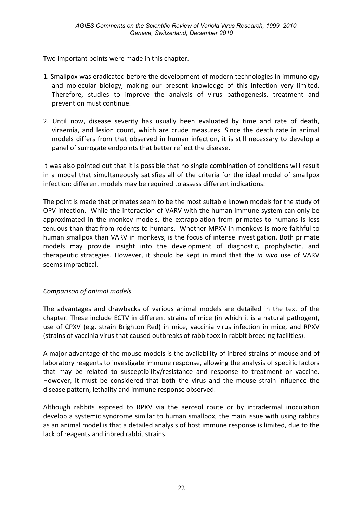Two important points were made in this chapter.

- 1. Smallpox was eradicated before the development of modern technologies in immunology and molecular biology, making our present knowledge of this infection very limited. Therefore, studies to improve the analysis of virus pathogenesis, treatment and prevention must continue.
- 2. Until now, disease severity has usually been evaluated by time and rate of death, viraemia, and lesion count, which are crude measures. Since the death rate in animal models differs from that observed in human infection, it is still necessary to develop a panel of surrogate endpoints that better reflect the disease.

It was also pointed out that it is possible that no single combination of conditions will result in a model that simultaneously satisfies all of the criteria for the ideal model of smallpox infection: different models may be required to assess different indications.

The point is made that primates seem to be the most suitable known models for the study of OPV infection. While the interaction of VARV with the human immune system can only be approximated in the monkey models, the extrapolation from primates to humans is less tenuous than that from rodents to humans. Whether MPXV in monkeys is more faithful to human smallpox than VARV in monkeys, is the focus of intense investigation. Both primate models may provide insight into the development of diagnostic, prophylactic, and therapeutic strategies. However, it should be kept in mind that the *in vivo* use of VARV seems impractical.

#### *Comparison of animal models*

The advantages and drawbacks of various animal models are detailed in the text of the chapter. These include ECTV in different strains of mice (in which it is a natural pathogen), use of CPXV (e.g. strain Brighton Red) in mice, vaccinia virus infection in mice, and RPXV (strains of vaccinia virus that caused outbreaks of rabbitpox in rabbit breeding facilities).

A major advantage of the mouse models is the availability of inbred strains of mouse and of laboratory reagents to investigate immune response, allowing the analysis of specific factors that may be related to susceptibility/resistance and response to treatment or vaccine. However, it must be considered that both the virus and the mouse strain influence the disease pattern, lethality and immune response observed.

Although rabbits exposed to RPXV via the aerosol route or by intradermal inoculation develop a systemic syndrome similar to human smallpox, the main issue with using rabbits as an animal model is that a detailed analysis of host immune response is limited, due to the lack of reagents and inbred rabbit strains.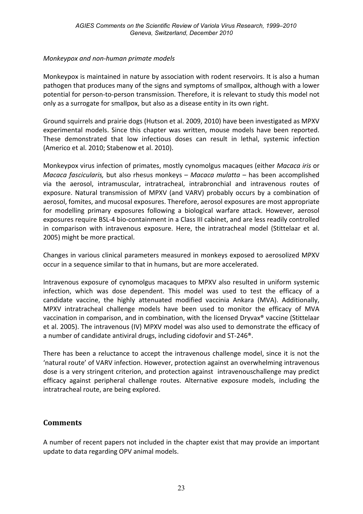#### *Monkeypox and non‐human primate models*

Monkeypox is maintained in nature by association with rodent reservoirs. It is also a human pathogen that produces many of the signs and symptoms of smallpox, although with a lower potential for person‐to‐person transmission. Therefore, it is relevant to study this model not only as a surrogate for smallpox, but also as a disease entity in its own right.

Ground squirrels and prairie dogs (Hutson et al. 2009, 2010) have been investigated as MPXV experimental models. Since this chapter was written, mouse models have been reported. These demonstrated that low infectious doses can result in lethal, systemic infection (Americo et al. 2010; Stabenow et al. 2010).

Monkeypox virus infection of primates, mostly cynomolgus macaques (either *Macaca iris* or *Macaca fascicularis,* but also rhesus monkeys – *Macaca mulatta* – has been accomplished via the aerosol, intramuscular, intratracheal, intrabronchial and intravenous routes of exposure. Natural transmission of MPXV (and VARV) probably occurs by a combination of aerosol, fomites, and mucosal exposures. Therefore, aerosol exposures are most appropriate for modelling primary exposures following a biological warfare attack. However, aerosol exposures require BSL‐4 bio‐containment in a Class III cabinet, and are less readily controlled in comparison with intravenous exposure. Here, the intratracheal model (Stittelaar et al. 2005) might be more practical.

Changes in various clinical parameters measured in monkeys exposed to aerosolized MPXV occur in a sequence similar to that in humans, but are more accelerated.

Intravenous exposure of cynomolgus macaques to MPXV also resulted in uniform systemic infection, which was dose dependent. This model was used to test the efficacy of a candidate vaccine, the highly attenuated modified vaccinia Ankara (MVA). Additionally, MPXV intratracheal challenge models have been used to monitor the efficacy of MVA vaccination in comparison, and in combination, with the licensed Dryvax® vaccine (Stittelaar et al. 2005). The intravenous (IV) MPXV model was also used to demonstrate the efficacy of a number of candidate antiviral drugs, including cidofovir and ST‐246®.

There has been a reluctance to accept the intravenous challenge model, since it is not the 'natural route' of VARV infection. However, protection against an overwhelming intravenous dose is a very stringent criterion, and protection against intravenouschallenge may predict efficacy against peripheral challenge routes. Alternative exposure models, including the intratracheal route, are being explored.

#### **Comments**

A number of recent papers not included in the chapter exist that may provide an important update to data regarding OPV animal models.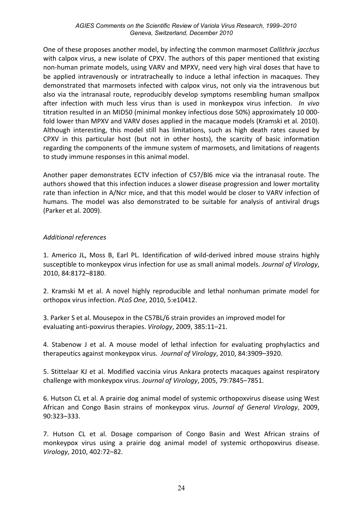One of these proposes another model, by infecting the common marmoset *Callithrix jacchus* with calpox virus, a new isolate of CPXV. The authors of this paper mentioned that existing non‐human primate models, using VARV and MPXV, need very high viral doses that have to be applied intravenously or intratracheally to induce a lethal infection in macaques. They demonstrated that marmosets infected with calpox virus, not only via the intravenous but also via the intranasal route, reproducibly develop symptoms resembling human smallpox after infection with much less virus than is used in monkeypox virus infection. *In vivo* titration resulted in an MID50 (minimal monkey infectious dose 50%) approximately 10 000‐ fold lower than MPXV and VARV doses applied in the macaque models (Kramski et al. 2010). Although interesting, this model still has limitations, such as high death rates caused by CPXV in this particular host (but not in other hosts), the scarcity of basic information regarding the components of the immune system of marmosets, and limitations of reagents to study immune responses in this animal model.

Another paper demonstrates ECTV infection of C57/Bl6 mice via the intranasal route. The authors showed that this infection induces a slower disease progression and lower mortality rate than infection in A/Ncr mice, and that this model would be closer to VARV infection of humans. The model was also demonstrated to be suitable for analysis of antiviral drugs (Parker et al. 2009).

#### *Additional references*

1. Americo JL, Moss B, Earl PL. Identification of wild‐derived inbred mouse strains highly susceptible to monkeypox virus infection for use as small animal models. *Journal of Virology*, 2010, 84:8172–8180.

2. Kramski M et al. A novel highly reproducible and lethal nonhuman primate model for orthopox virus infection. *PLoS One*, 2010, 5:e10412.

3. Parker S et al. Mousepox in the C57BL/6 strain provides an improved model for evaluating anti‐poxvirus therapies. *Virology*, 2009, 385:11–21.

4. Stabenow J et al. A mouse model of lethal infection for evaluating prophylactics and therapeutics against monkeypox virus. *Journal of Virology*, 2010, 84:3909–3920.

5. Stittelaar KJ et al. Modified vaccinia virus Ankara protects macaques against respiratory challenge with monkeypox virus. *Journal of Virology*, 2005, 79:7845–7851.

6. Hutson CL et al. A prairie dog animal model of systemic orthopoxvirus disease using West African and Congo Basin strains of monkeypox virus. *Journal of General Virology*, 2009, 90:323–333.

7. Hutson CL et al. Dosage comparison of Congo Basin and West African strains of monkeypox virus using a prairie dog animal model of systemic orthopoxvirus disease. *Virology*, 2010, 402:72–82.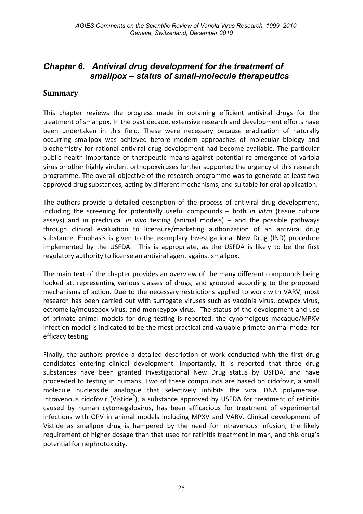### *Chapter 6. Antiviral drug development for the treatment of smallpox – status of small-molecule therapeutics*

#### **Summary**

This chapter reviews the progress made in obtaining efficient antiviral drugs for the treatment of smallpox. In the past decade, extensive research and development efforts have been undertaken in this field. These were necessary because eradication of naturally occurring smallpox was achieved before modern approaches of molecular biology and biochemistry for rational antiviral drug development had become available. The particular public health importance of therapeutic means against potential re‐emergence of variola virus or other highly virulent orthopoxviruses further supported the urgency of this research programme. The overall objective of the research programme was to generate at least two approved drug substances, acting by different mechanisms, and suitable for oral application.

The authors provide a detailed description of the process of antiviral drug development, including the screening for potentially useful compounds – both *in vitro* (tissue culture assays) and in preclinical *in vivo* testing (animal models) – and the possible pathways through clinical evaluation to licensure/marketing authorization of an antiviral drug substance. Emphasis is given to the exemplary Investigational New Drug (IND) procedure implemented by the USFDA. This is appropriate, as the USFDA is likely to be the first regulatory authority to license an antiviral agent against smallpox.

The main text of the chapter provides an overview of the many different compounds being looked at, representing various classes of drugs, and grouped according to the proposed mechanisms of action. Due to the necessary restrictions applied to work with VARV, most research has been carried out with surrogate viruses such as vaccinia virus, cowpox virus, ectromelia/mousepox virus, and monkeypox virus. The status of the development and use of primate animal models for drug testing is reported: the cynomolgous macaque/MPXV infection model is indicated to be the most practical and valuable primate animal model for efficacy testing.

Finally, the authors provide a detailed description of work conducted with the first drug candidates entering clinical development. Importantly, it is reported that three drug substances have been granted Investigational New Drug status by USFDA, and have proceeded to testing in humans. Two of these compounds are based on cidofovir, a small molecule nucleoside analogue that selectively inhibits the viral DNA polymerase. Intravenous cidofovir (Vistide®), a substance approved by USFDA for treatment of retinitis caused by human cytomegalovirus, has been efficacious for treatment of experimental infections with OPV in animal models including MPXV and VARV. Clinical development of Vistide as smallpox drug is hampered by the need for intravenous infusion, the likely requirement of higher dosage than that used for retinitis treatment in man, and this drug's potential for nephrotoxicity.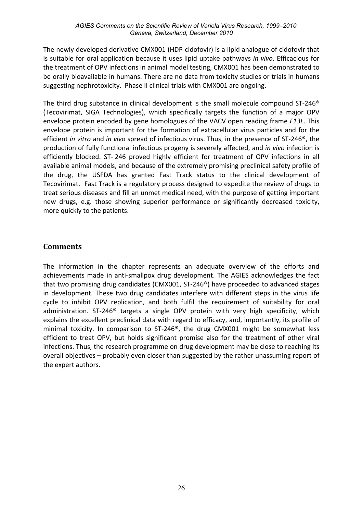The newly developed derivative CMX001 (HDP‐cidofovir) is a lipid analogue of cidofovir that is suitable for oral application because it uses lipid uptake pathways *in vivo*. Efficacious for the treatment of OPV infections in animal model testing, CMX001 has been demonstrated to be orally bioavailable in humans. There are no data from toxicity studies or trials in humans suggesting nephrotoxicity. Phase II clinical trials with CMX001 are ongoing.

The third drug substance in clinical development is the small molecule compound ST-246<sup>®</sup> (Tecovirimat, SIGA Technologies), which specifically targets the function of a major OPV envelope protein encoded by gene homologues of the VACV open reading frame *F13L*. This envelope protein is important for the formation of extracellular virus particles and for the efficient *in vitro* and *in vivo* spread of infectious virus. Thus, in the presence of ST‐246®, the production of fully functional infectious progeny is severely affected, and *in vivo* infection is efficiently blocked. ST-246 proved highly efficient for treatment of OPV infections in all available animal models, and because of the extremely promising preclinical safety profile of the drug, the USFDA has granted Fast Track status to the clinical development of Tecovirimat. Fast Track is a regulatory process designed to expedite the review of drugs to treat serious diseases and fill an unmet medical need, with the purpose of getting important new drugs, e.g. those showing superior performance or significantly decreased toxicity, more quickly to the patients.

#### **Comments**

The information in the chapter represents an adequate overview of the efforts and achievements made in anti‐smallpox drug development. The AGIES acknowledges the fact that two promising drug candidates (CMX001, ST‐246®) have proceeded to advanced stages in development. These two drug candidates interfere with different steps in the virus life cycle to inhibit OPV replication, and both fulfil the requirement of suitability for oral administration. ST-246<sup>®</sup> targets a single OPV protein with very high specificity, which explains the excellent preclinical data with regard to efficacy, and, importantly, its profile of minimal toxicity. In comparison to ST-246<sup>®</sup>, the drug CMX001 might be somewhat less efficient to treat OPV, but holds significant promise also for the treatment of other viral infections. Thus, the research programme on drug development may be close to reaching its overall objectives – probably even closer than suggested by the rather unassuming report of the expert authors.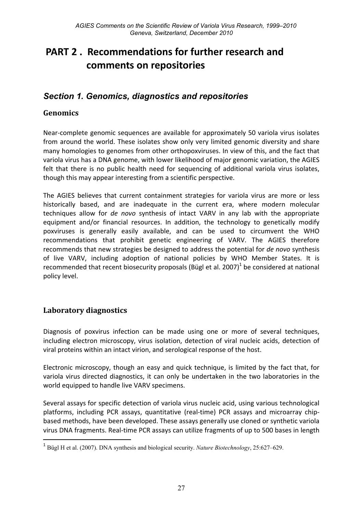# **PART 2 . Recommendations for further research and comments on repositories**

## *Section 1. Genomics, diagnostics and repositories*

#### **Genomics**

Near‐complete genomic sequences are available for approximately 50 variola virus isolates from around the world. These isolates show only very limited genomic diversity and share many homologies to genomes from other orthopoxviruses. In view of this, and the fact that variola virus has a DNA genome, with lower likelihood of major genomic variation, the AGIES felt that there is no public health need for sequencing of additional variola virus isolates, though this may appear interesting from a scientific perspective.

The AGIES believes that current containment strategies for variola virus are more or less historically based, and are inadequate in the current era, where modern molecular techniques allow for *de novo* synthesis of intact VARV in any lab with the appropriate equipment and/or financial resources. In addition, the technology to genetically modify poxviruses is generally easily available, and can be used to circumvent the WHO recommendations that prohibit genetic engineering of VARV. The AGIES therefore recommends that new strategies be designed to address the potential for *de novo* synthesis of live VARV, including adoption of national policies by WHO Member States. It is recommended that recent biosecurity proposals (Bügl et al. 2007)<sup>1</sup> be considered at national policy level.

#### **Laboratory diagnostics**

1

Diagnosis of poxvirus infection can be made using one or more of several techniques, including electron microscopy, virus isolation, detection of viral nucleic acids, detection of viral proteins within an intact virion, and serological response of the host.

Electronic microscopy, though an easy and quick technique, is limited by the fact that, for variola virus directed diagnostics, it can only be undertaken in the two laboratories in the world equipped to handle live VARV specimens.

Several assays for specific detection of variola virus nucleic acid, using various technological platforms, including PCR assays, quantitative (real‐time) PCR assays and microarray chip‐ based methods, have been developed. These assays generally use cloned or synthetic variola virus DNA fragments. Real‐time PCR assays can utilize fragments of up to 500 bases in length

<sup>1</sup> Bügl H et al. (2007). DNA synthesis and biological security. *Nature Biotechnology*, 25:627–629.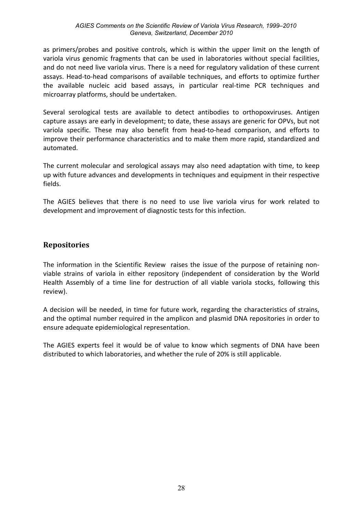as primers/probes and positive controls, which is within the upper limit on the length of variola virus genomic fragments that can be used in laboratories without special facilities, and do not need live variola virus. There is a need for regulatory validation of these current assays. Head-to-head comparisons of available techniques, and efforts to optimize further the available nucleic acid based assays, in particular real-time PCR techniques and microarray platforms, should be undertaken.

Several serological tests are available to detect antibodies to orthopoxviruses. Antigen capture assays are early in development; to date, these assays are generic for OPVs, but not variola specific. These may also benefit from head-to-head comparison, and efforts to improve their performance characteristics and to make them more rapid, standardized and automated.

The current molecular and serological assays may also need adaptation with time, to keep up with future advances and developments in techniques and equipment in their respective fields.

The AGIES believes that there is no need to use live variola virus for work related to development and improvement of diagnostic tests for this infection.

#### **Repositories**

The information in the Scientific Review raises the issue of the purpose of retaining nonviable strains of variola in either repository (independent of consideration by the World Health Assembly of a time line for destruction of all viable variola stocks, following this review).

A decision will be needed, in time for future work, regarding the characteristics of strains, and the optimal number required in the amplicon and plasmid DNA repositories in order to ensure adequate epidemiological representation.

The AGIES experts feel it would be of value to know which segments of DNA have been distributed to which laboratories, and whether the rule of 20% is still applicable.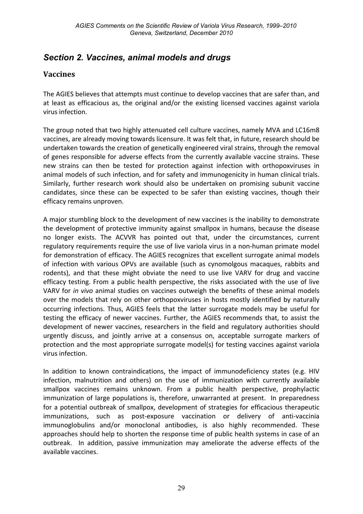# *Section 2. Vaccines, animal models and drugs*

#### **Vaccines**

The AGIES believes that attempts must continue to develop vaccines that are safer than, and at least as efficacious as, the original and/or the existing licensed vaccines against variola virus infection.

The group noted that two highly attenuated cell culture vaccines, namely MVA and LC16m8 vaccines, are already moving towards licensure. It was felt that, in future, research should be undertaken towards the creation of genetically engineered viral strains, through the removal of genes responsible for adverse effects from the currently available vaccine strains. These new strains can then be tested for protection against infection with orthopoxviruses in animal models of such infection, and for safety and immunogenicity in human clinical trials. Similarly, further research work should also be undertaken on promising subunit vaccine candidates, since these can be expected to be safer than existing vaccines, though their efficacy remains unproven.

A major stumbling block to the development of new vaccines is the inability to demonstrate the development of protective immunity against smallpox in humans, because the disease no longer exists. The ACVVR has pointed out that, under the circumstances, current regulatory requirements require the use of live variola virus in a non-human primate model for demonstration of efficacy. The AGIES recognizes that excellent surrogate animal models of infection with various OPVs are available (such as cynomolgous macaques, rabbits and rodents), and that these might obviate the need to use live VARV for drug and vaccine efficacy testing. From a public health perspective, the risks associated with the use of live VARV for *in vivo* animal studies on vaccines outweigh the benefits of these animal models over the models that rely on other orthopoxviruses in hosts mostly identified by naturally occurring infections. Thus, AGIES feels that the latter surrogate models may be useful for testing the efficacy of newer vaccines. Further, the AGIES recommends that, to assist the development of newer vaccines, researchers in the field and regulatory authorities should urgently discuss, and jointly arrive at a consensus on, acceptable surrogate markers of protection and the most appropriate surrogate model(s) for testing vaccines against variola virus infection.

In addition to known contraindications, the impact of immunodeficiency states (e.g. HIV infection, malnutrition and others) on the use of immunization with currently available smallpox vaccines remains unknown. From a public health perspective, prophylactic immunization of large populations is, therefore, unwarranted at present. In preparedness for a potential outbreak of smallpox, development of strategies for efficacious therapeutic immunizations, such as post-exposure vaccination or delivery of anti-vaccinia immunoglobulins and/or monoclonal antibodies, is also highly recommended. These approaches should help to shorten the response time of public health systems in case of an outbreak. In addition, passive immunization may ameliorate the adverse effects of the available vaccines.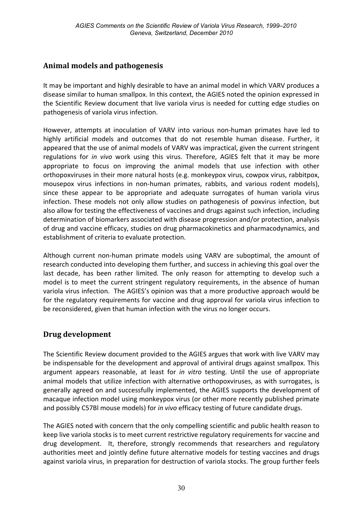#### **Animal models and pathogenesis**

It may be important and highly desirable to have an animal model in which VARV produces a disease similar to human smallpox. In this context, the AGIES noted the opinion expressed in the Scientific Review document that live variola virus is needed for cutting edge studies on pathogenesis of variola virus infection.

However, attempts at inoculation of VARV into various non‐human primates have led to highly artificial models and outcomes that do not resemble human disease. Further, it appeared that the use of animal models of VARV was impractical, given the current stringent regulations for *in vivo* work using this virus. Therefore, AGIES felt that it may be more appropriate to focus on improving the animal models that use infection with other orthopoxviruses in their more natural hosts (e.g. monkeypox virus, cowpox virus, rabbitpox, mousepox virus infections in non‐human primates, rabbits, and various rodent models), since these appear to be appropriate and adequate surrogates of human variola virus infection. These models not only allow studies on pathogenesis of poxvirus infection, but also allow for testing the effectiveness of vaccines and drugs against such infection, including determination of biomarkers associated with disease progression and/or protection, analysis of drug and vaccine efficacy, studies on drug pharmacokinetics and pharmacodynamics, and establishment of criteria to evaluate protection.

Although current non‐human primate models using VARV are suboptimal, the amount of research conducted into developing them further, and success in achieving this goal over the last decade, has been rather limited. The only reason for attempting to develop such a model is to meet the current stringent regulatory requirements, in the absence of human variola virus infection. The AGIES's opinion was that a more productive approach would be for the regulatory requirements for vaccine and drug approval for variola virus infection to be reconsidered, given that human infection with the virus no longer occurs.

#### **Drug development**

The Scientific Review document provided to the AGIES argues that work with live VARV may be indispensable for the development and approval of antiviral drugs against smallpox. This argument appears reasonable, at least for *in vitro* testing. Until the use of appropriate animal models that utilize infection with alternative orthopoxviruses, as with surrogates, is generally agreed on and successfully implemented, the AGIES supports the development of macaque infection model using monkeypox virus (or other more recently published primate and possibly C57Bl mouse models) for *in vivo* efficacy testing of future candidate drugs.

The AGIES noted with concern that the only compelling scientific and public health reason to keep live variola stocks is to meet current restrictive regulatory requirements for vaccine and drug development. It, therefore, strongly recommends that researchers and regulatory authorities meet and jointly define future alternative models for testing vaccines and drugs against variola virus, in preparation for destruction of variola stocks. The group further feels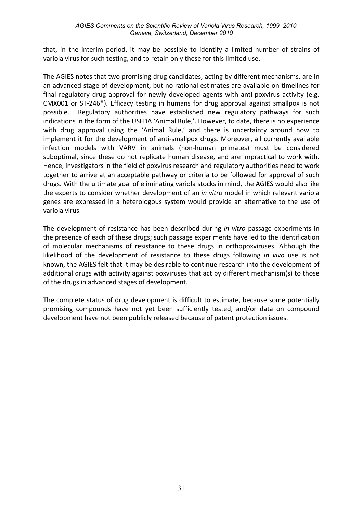that, in the interim period, it may be possible to identify a limited number of strains of variola virus for such testing, and to retain only these for this limited use.

The AGIES notes that two promising drug candidates, acting by different mechanisms, are in an advanced stage of development, but no rational estimates are available on timelines for final regulatory drug approval for newly developed agents with anti-poxvirus activity (e.g. CMX001 or ST‐246®). Efficacy testing in humans for drug approval against smallpox is not possible. Regulatory authorities have established new regulatory pathways for such indications in the form of the USFDA 'Animal Rule,'. However, to date, there is no experience with drug approval using the 'Animal Rule,' and there is uncertainty around how to implement it for the development of anti-smallpox drugs. Moreover, all currently available infection models with VARV in animals (non‐human primates) must be considered suboptimal, since these do not replicate human disease, and are impractical to work with. Hence, investigators in the field of poxvirus research and regulatory authorities need to work together to arrive at an acceptable pathway or criteria to be followed for approval of such drugs. With the ultimate goal of eliminating variola stocks in mind, the AGIES would also like the experts to consider whether development of an *in vitro* model in which relevant variola genes are expressed in a heterologous system would provide an alternative to the use of variola virus.

The development of resistance has been described during *in vitro* passage experiments in the presence of each of these drugs; such passage experiments have led to the identification of molecular mechanisms of resistance to these drugs in orthopoxviruses. Although the likelihood of the development of resistance to these drugs following *in vivo* use is not known, the AGIES felt that it may be desirable to continue research into the development of additional drugs with activity against poxviruses that act by different mechanism(s) to those of the drugs in advanced stages of development.

The complete status of drug development is difficult to estimate, because some potentially promising compounds have not yet been sufficiently tested, and/or data on compound development have not been publicly released because of patent protection issues.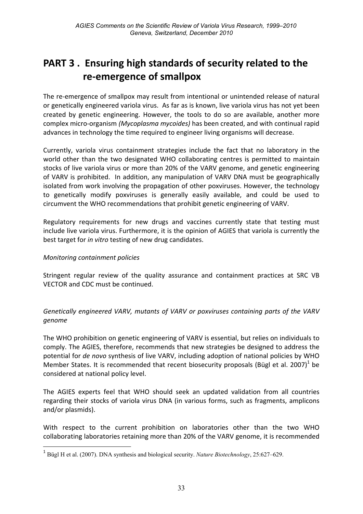# **PART 3 . Ensuring high standards of security related to the re‐emergence of smallpox**

The re-emergence of smallpox may result from intentional or unintended release of natural or genetically engineered variola virus. As far as is known, live variola virus has not yet been created by genetic engineering. However, the tools to do so are available, another more complex micro‐organism *(Mycoplasma mycoides)* has been created, and with continual rapid advances in technology the time required to engineer living organisms will decrease.

Currently, variola virus containment strategies include the fact that no laboratory in the world other than the two designated WHO collaborating centres is permitted to maintain stocks of live variola virus or more than 20% of the VARV genome, and genetic engineering of VARV is prohibited. In addition, any manipulation of VARV DNA must be geographically isolated from work involving the propagation of other poxviruses. However, the technology to genetically modify poxviruses is generally easily available, and could be used to circumvent the WHO recommendations that prohibit genetic engineering of VARV.

Regulatory requirements for new drugs and vaccines currently state that testing must include live variola virus. Furthermore, it is the opinion of AGIES that variola is currently the best target for *in vitro* testing of new drug candidates.

#### *Monitoring containment policies*

1

Stringent regular review of the quality assurance and containment practices at SRC VB VECTOR and CDC must be continued.

*Genetically engineered VARV, mutants of VARV or poxviruses containing parts of the VARV genome*

The WHO prohibition on genetic engineering of VARV is essential, but relies on individuals to comply. The AGIES, therefore, recommends that new strategies be designed to address the potential for *de novo* synthesis of live VARV, including adoption of national policies by WHO Member States. It is recommended that recent biosecurity proposals (Bügl et al. 2007)<sup>1</sup> be considered at national policy level.

The AGIES experts feel that WHO should seek an updated validation from all countries regarding their stocks of variola virus DNA (in various forms, such as fragments, amplicons and/or plasmids).

With respect to the current prohibition on laboratories other than the two WHO collaborating laboratories retaining more than 20% of the VARV genome, it is recommended

<sup>1</sup> Bügl H et al. (2007). DNA synthesis and biological security. *Nature Biotechnology*, 25:627–629.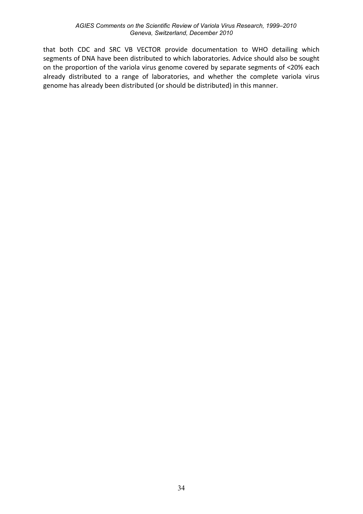#### *AGIES Comments on the Scientific Review of Variola Virus Research, 1999–2010 Geneva, Switzerland, December 2010*

that both CDC and SRC VB VECTOR provide documentation to WHO detailing which segments of DNA have been distributed to which laboratories. Advice should also be sought on the proportion of the variola virus genome covered by separate segments of <20% each already distributed to a range of laboratories, and whether the complete variola virus genome has already been distributed (or should be distributed) in this manner.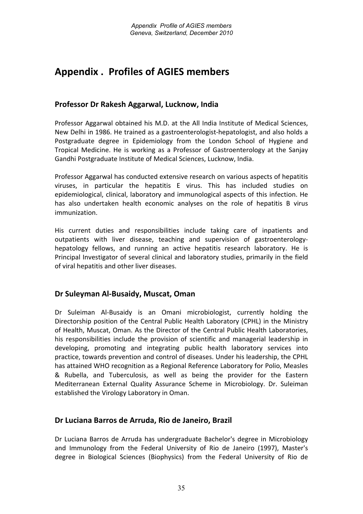# **Appendix . Profiles of AGIES members**

#### **Professor Dr Rakesh Aggarwal, Lucknow, India**

Professor Aggarwal obtained his M.D. at the All India Institute of Medical Sciences, New Delhi in 1986. He trained as a gastroenterologist‐hepatologist, and also holds a Postgraduate degree in Epidemiology from the London School of Hygiene and Tropical Medicine. He is working as a Professor of Gastroenterology at the Sanjay Gandhi Postgraduate Institute of Medical Sciences, Lucknow, India.

Professor Aggarwal has conducted extensive research on various aspects of hepatitis viruses, in particular the hepatitis E virus. This has included studies on epidemiological, clinical, laboratory and immunological aspects of this infection. He has also undertaken health economic analyses on the role of hepatitis B virus immunization.

His current duties and responsibilities include taking care of inpatients and outpatients with liver disease, teaching and supervision of gastroenterology‐ hepatology fellows, and running an active hepatitis research laboratory. He is Principal Investigator of several clinical and laboratory studies, primarily in the field of viral hepatitis and other liver diseases.

#### **Dr Suleyman Al‐Busaidy, Muscat, Oman**

Dr Suleiman Al-Busaidy is an Omani microbiologist, currently holding the Directorship position of the Central Public Health Laboratory (CPHL) in the Ministry of Health, Muscat, Oman. As the Director of the Central Public Health Laboratories, his responsibilities include the provision of scientific and managerial leadership in developing, promoting and integrating public health laboratory services into practice, towards prevention and control of diseases. Under his leadership, the CPHL has attained WHO recognition as a Regional Reference Laboratory for Polio, Measles & Rubella, and Tuberculosis, as well as being the provider for the Eastern Mediterranean External Quality Assurance Scheme in Microbiology. Dr. Suleiman established the Virology Laboratory in Oman.

#### **Dr Luciana Barros de Arruda, Rio de Janeiro, Brazil**

Dr Luciana Barros de Arruda has undergraduate Bachelor's degree in Microbiology and Immunology from the Federal University of Rio de Janeiro (1997), Master's degree in Biological Sciences (Biophysics) from the Federal University of Rio de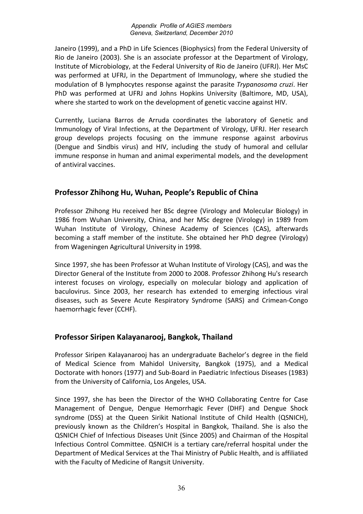Janeiro (1999), and a PhD in Life Sciences (Biophysics) from the Federal University of Rio de Janeiro (2003). She is an associate professor at the Department of Virology, Institute of Microbiology, at the Federal University of Rio de Janeiro (UFRJ). Her MsC was performed at UFRJ, in the Department of Immunology, where she studied the modulation of B lymphocytes response against the parasite *Trypanosoma cruzi*. Her PhD was performed at UFRJ and Johns Hopkins University (Baltimore, MD, USA), where she started to work on the development of genetic vaccine against HIV.

Currently, Luciana Barros de Arruda coordinates the laboratory of Genetic and Immunology of Viral Infections, at the Department of Virology, UFRJ. Her research group develops projects focusing on the immune response against arbovirus (Dengue and Sindbis virus) and HIV, including the study of humoral and cellular immune response in human and animal experimental models, and the development of antiviral vaccines.

#### **Professor Zhihong Hu, Wuhan, People's Republic of China**

Professor Zhihong Hu received her BSc degree (Virology and Molecular Biology) in 1986 from Wuhan University, China, and her MSc degree (Virology) in 1989 from Wuhan Institute of Virology, Chinese Academy of Sciences (CAS), afterwards becoming a staff member of the institute. She obtained her PhD degree (Virology) from Wageningen Agricultural University in 1998.

Since 1997, she has been Professor at Wuhan Institute of Virology (CAS), and was the Director General of the Institute from 2000 to 2008. Professor Zhihong Hu's research interest focuses on virology, especially on molecular biology and application of baculovirus. Since 2003, her research has extended to emerging infectious viral diseases, such as Severe Acute Respiratory Syndrome (SARS) and Crimean‐Congo haemorrhagic fever (CCHF).

#### **Professor Siripen Kalayanarooj, Bangkok, Thailand**

Professor Siripen Kalayanarooj has an undergraduate Bachelor's degree in the field of Medical Science from Mahidol University, Bangkok (1975), and a Medical Doctorate with honors (1977) and Sub‐Board in Paediatric Infectious Diseases (1983) from the University of California, Los Angeles, USA.

Since 1997, she has been the Director of the WHO Collaborating Centre for Case Management of Dengue, Dengue Hemorrhagic Fever (DHF) and Dengue Shock syndrome (DSS) at the Queen Sirikit National Institute of Child Health (QSNICH), previously known as the Children's Hospital in Bangkok, Thailand. She is also the QSNICH Chief of Infectious Diseases Unit (Since 2005) and Chairman of the Hospital Infectious Control Committee. QSNICH is a tertiary care/referral hospital under the Department of Medical Services at the Thai Ministry of Public Health, and is affiliated with the Faculty of Medicine of Rangsit University.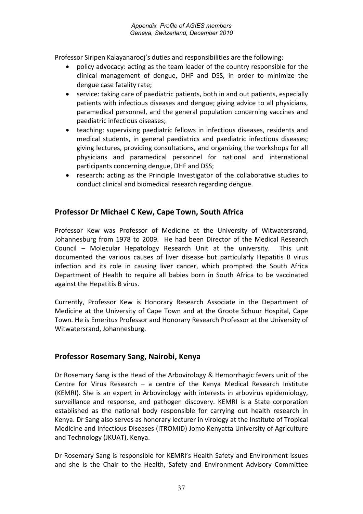Professor Siripen Kalayanarooj's duties and responsibilities are the following:

- policy advocacy: acting as the team leader of the country responsible for the clinical management of dengue, DHF and DSS, in order to minimize the dengue case fatality rate;
- service: taking care of paediatric patients, both in and out patients, especially patients with infectious diseases and dengue; giving advice to all physicians, paramedical personnel, and the general population concerning vaccines and paediatric infectious diseases;
- teaching: supervising paediatric fellows in infectious diseases, residents and medical students, in general paediatrics and paediatric infectious diseases; giving lectures, providing consultations, and organizing the workshops for all physicians and paramedical personnel for national and international participants concerning dengue, DHF and DSS;
- research: acting as the Principle Investigator of the collaborative studies to conduct clinical and biomedical research regarding dengue.

#### **Professor Dr Michael C Kew, Cape Town, South Africa**

Professor Kew was Professor of Medicine at the University of Witwatersrand, Johannesburg from 1978 to 2009. He had been Director of the Medical Research Council – Molecular Hepatology Research Unit at the university. This unit documented the various causes of liver disease but particularly Hepatitis B virus infection and its role in causing liver cancer, which prompted the South Africa Department of Health to require all babies born in South Africa to be vaccinated against the Hepatitis B virus.

Currently, Professor Kew is Honorary Research Associate in the Department of Medicine at the University of Cape Town and at the Groote Schuur Hospital, Cape Town. He is Emeritus Professor and Honorary Research Professor at the University of Witwatersrand, Johannesburg.

#### **Professor Rosemary Sang, Nairobi, Kenya**

Dr Rosemary Sang is the Head of the Arbovirology & Hemorrhagic fevers unit of the Centre for Virus Research – a centre of the Kenya Medical Research Institute (KEMRI). She is an expert in Arbovirology with interests in arbovirus epidemiology, surveillance and response, and pathogen discovery. KEMRI is a State corporation established as the national body responsible for carrying out health research in Kenya. Dr Sang also serves as honorary lecturer in virology at the Institute of Tropical Medicine and Infectious Diseases (ITROMID) Jomo Kenyatta University of Agriculture and Technology (JKUAT), Kenya.

Dr Rosemary Sang is responsible for KEMRI's Health Safety and Environment issues and she is the Chair to the Health, Safety and Environment Advisory Committee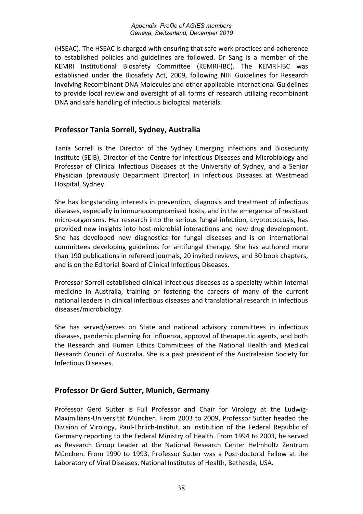(HSEAC). The HSEAC is charged with ensuring that safe work practices and adherence to established policies and guidelines are followed. Dr Sang is a member of the KEMRI Institutional Biosafety Committee (KEMRI‐IBC). The KEMRI‐IBC was established under the Biosafety Act, 2009, following NIH Guidelines for Research Involving Recombinant DNA Molecules and other applicable International Guidelines to provide local review and oversight of all forms of research utilizing recombinant DNA and safe handling of infectious biological materials.

#### **Professor Tania Sorrell, Sydney, Australia**

Tania Sorrell is the Director of the Sydney Emerging infections and Biosecurity Institute (SEIB), Director of the Centre for Infectious Diseases and Microbiology and Professor of Clinical Infectious Diseases at the University of Sydney, and a Senior Physician (previously Department Director) in Infectious Diseases at Westmead Hospital, Sydney.

She has longstanding interests in prevention, diagnosis and treatment of infectious diseases, especially in immunocompromised hosts, and in the emergence of resistant micro‐organisms. Her research into the serious fungal infection, cryptococcosis, has provided new insights into host‐microbial interactions and new drug development. She has developed new diagnostics for fungal diseases and is on international committees developing guidelines for antifungal therapy. She has authored more than 190 publications in refereed journals, 20 invited reviews, and 30 book chapters, and is on the Editorial Board of Clinical Infectious Diseases.

Professor Sorrell established clinical infectious diseases as a specialty within internal medicine in Australia, training or fostering the careers of many of the current national leaders in clinical infectious diseases and translational research in infectious diseases/microbiology.

She has served/serves on State and national advisory committees in infectious diseases, pandemic planning for influenza, approval of therapeutic agents, and both the Research and Human Ethics Committees of the National Health and Medical Research Council of Australia. She is a past president of the Australasian Society for Infectious Diseases.

#### **Professor Dr Gerd Sutter, Munich, Germany**

Professor Gerd Sutter is Full Professor and Chair for Virology at the Ludwig‐ Maximilians‐Universität München. From 2003 to 2009, Professor Sutter headed the Division of Virology, Paul‐Ehrlich‐Institut, an institution of the Federal Republic of Germany reporting to the Federal Ministry of Health. From 1994 to 2003, he served as Research Group Leader at the National Research Center Helmholtz Zentrum München. From 1990 to 1993, Professor Sutter was a Post‐doctoral Fellow at the Laboratory of Viral Diseases, National Institutes of Health, Bethesda, USA.